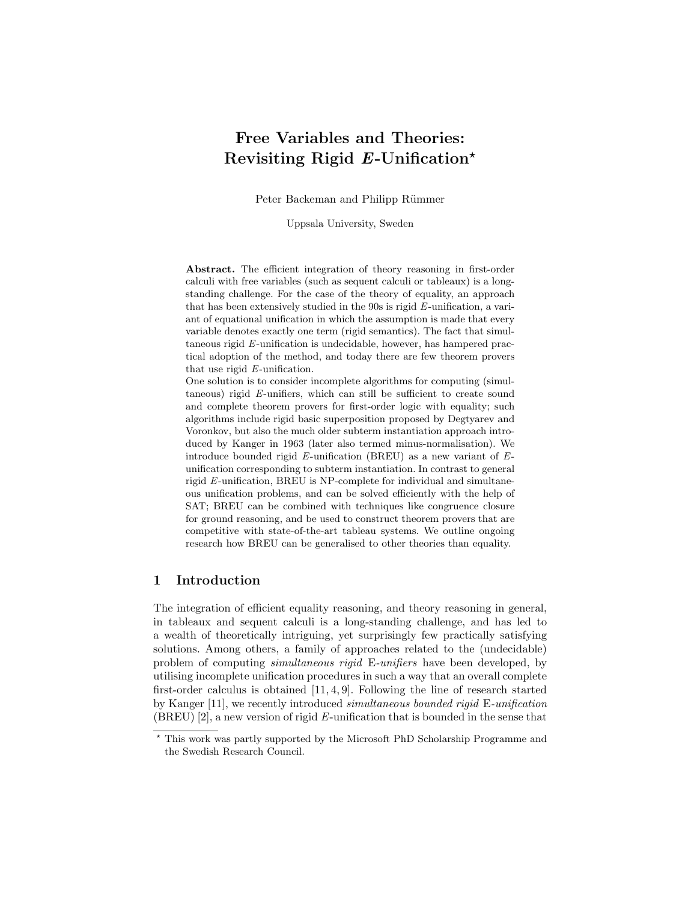# Free Variables and Theories: Revisiting Rigid  $E$ -Unification<sup>\*</sup>

Peter Backeman and Philipp Rümmer

Uppsala University, Sweden

Abstract. The efficient integration of theory reasoning in first-order calculi with free variables (such as sequent calculi or tableaux) is a longstanding challenge. For the case of the theory of equality, an approach that has been extensively studied in the 90s is rigid E-unification, a variant of equational unification in which the assumption is made that every variable denotes exactly one term (rigid semantics). The fact that simultaneous rigid E-unification is undecidable, however, has hampered practical adoption of the method, and today there are few theorem provers that use rigid E-unification.

One solution is to consider incomplete algorithms for computing (simultaneous) rigid  $E$ -unifiers, which can still be sufficient to create sound and complete theorem provers for first-order logic with equality; such algorithms include rigid basic superposition proposed by Degtyarev and Voronkov, but also the much older subterm instantiation approach introduced by Kanger in 1963 (later also termed minus-normalisation). We introduce bounded rigid  $E$ -unification (BREU) as a new variant of  $E$ unification corresponding to subterm instantiation. In contrast to general rigid E-unification, BREU is NP-complete for individual and simultaneous unification problems, and can be solved efficiently with the help of SAT; BREU can be combined with techniques like congruence closure for ground reasoning, and be used to construct theorem provers that are competitive with state-of-the-art tableau systems. We outline ongoing research how BREU can be generalised to other theories than equality.

# 1 Introduction

The integration of efficient equality reasoning, and theory reasoning in general, in tableaux and sequent calculi is a long-standing challenge, and has led to a wealth of theoretically intriguing, yet surprisingly few practically satisfying solutions. Among others, a family of approaches related to the (undecidable) problem of computing simultaneous rigid E-unifiers have been developed, by utilising incomplete unification procedures in such a way that an overall complete first-order calculus is obtained [11, 4, 9]. Following the line of research started by Kanger [11], we recently introduced simultaneous bounded rigid E-unification (BREU) [2], a new version of rigid E-unification that is bounded in the sense that

<sup>?</sup> This work was partly supported by the Microsoft PhD Scholarship Programme and the Swedish Research Council.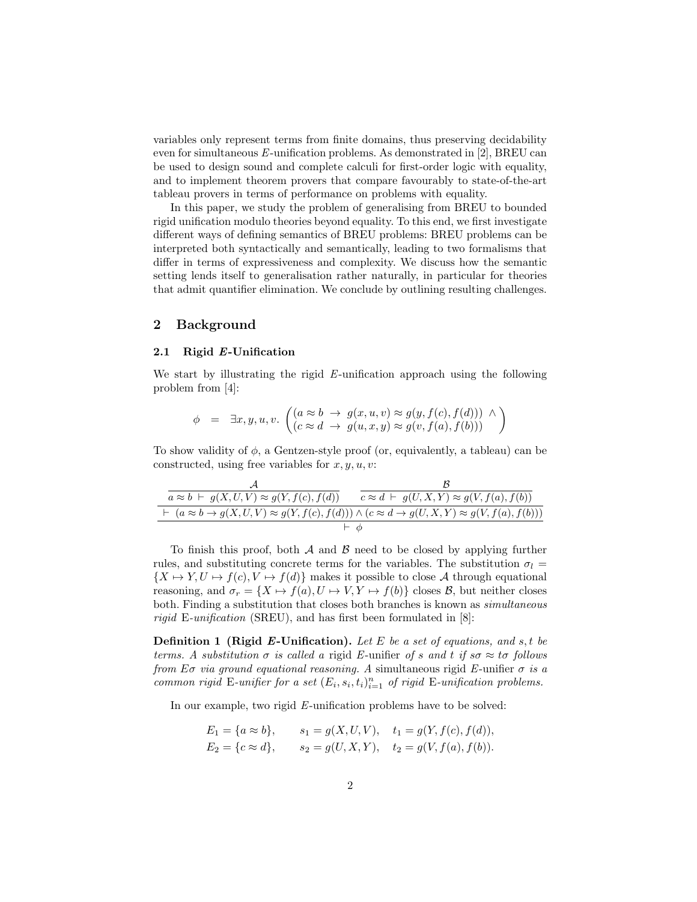variables only represent terms from finite domains, thus preserving decidability even for simultaneous E-unification problems. As demonstrated in [2], BREU can be used to design sound and complete calculi for first-order logic with equality, and to implement theorem provers that compare favourably to state-of-the-art tableau provers in terms of performance on problems with equality.

In this paper, we study the problem of generalising from BREU to bounded rigid unification modulo theories beyond equality. To this end, we first investigate different ways of defining semantics of BREU problems: BREU problems can be interpreted both syntactically and semantically, leading to two formalisms that differ in terms of expressiveness and complexity. We discuss how the semantic setting lends itself to generalisation rather naturally, in particular for theories that admit quantifier elimination. We conclude by outlining resulting challenges.

# 2 Background

#### 2.1 Rigid E-Unification

We start by illustrating the rigid  $E$ -unification approach using the following problem from [4]:

$$
\phi = \exists x, y, u, v. \begin{pmatrix} (a \approx b \rightarrow g(x, u, v) \approx g(y, f(c), f(d))) \land \\ (c \approx d \rightarrow g(u, x, y) \approx g(v, f(a), f(b))) \end{pmatrix}
$$

To show validity of  $\phi$ , a Gentzen-style proof (or, equivalently, a tableau) can be constructed, using free variables for  $x, y, u, v$ :

| $a \approx b \vdash g(X, U, V) \approx g(Y, f(c), f(d))$                                                                                   | $c \approx d$ $\vdash$ $g(U, X, Y) \approx g(V, f(a), f(b))$ |
|--------------------------------------------------------------------------------------------------------------------------------------------|--------------------------------------------------------------|
| $\vdash (a \approx b \rightarrow g(X, U, V) \approx g(Y, f(c), f(d))) \land (c \approx d \rightarrow g(U, X, Y) \approx g(V, f(a), f(b)))$ |                                                              |
| Η φ                                                                                                                                        |                                                              |

To finish this proof, both  $A$  and  $B$  need to be closed by applying further rules, and substituting concrete terms for the variables. The substitution  $\sigma_l =$  ${X \mapsto Y, U \mapsto f(c), V \mapsto f(d)}$  makes it possible to close A through equational reasoning, and  $\sigma_r = \{X \mapsto f(a), U \mapsto V, Y \mapsto f(b)\}\)$  closes  $\mathcal{B}$ , but neither closes both. Finding a substitution that closes both branches is known as simultaneous rigid E-unification (SREU), and has first been formulated in [8]:

**Definition 1 (Rigid E-Unification).** Let  $E$  be a set of equations, and s, t be terms. A substitution  $\sigma$  is called a rigid E-unifier of s and t if s $\sigma \approx t\sigma$  follows from  $E\sigma$  via ground equational reasoning. A simultaneous rigid E-unifier  $\sigma$  is a common rigid E-unifier for a set  $(E_i, s_i, t_i)_{i=1}^n$  of rigid E-unification problems.

In our example, two rigid E-unification problems have to be solved:

$$
E_1 = \{a \approx b\}, \qquad s_1 = g(X, U, V), \quad t_1 = g(Y, f(c), f(d)),
$$
  
\n
$$
E_2 = \{c \approx d\}, \qquad s_2 = g(U, X, Y), \quad t_2 = g(V, f(a), f(b)).
$$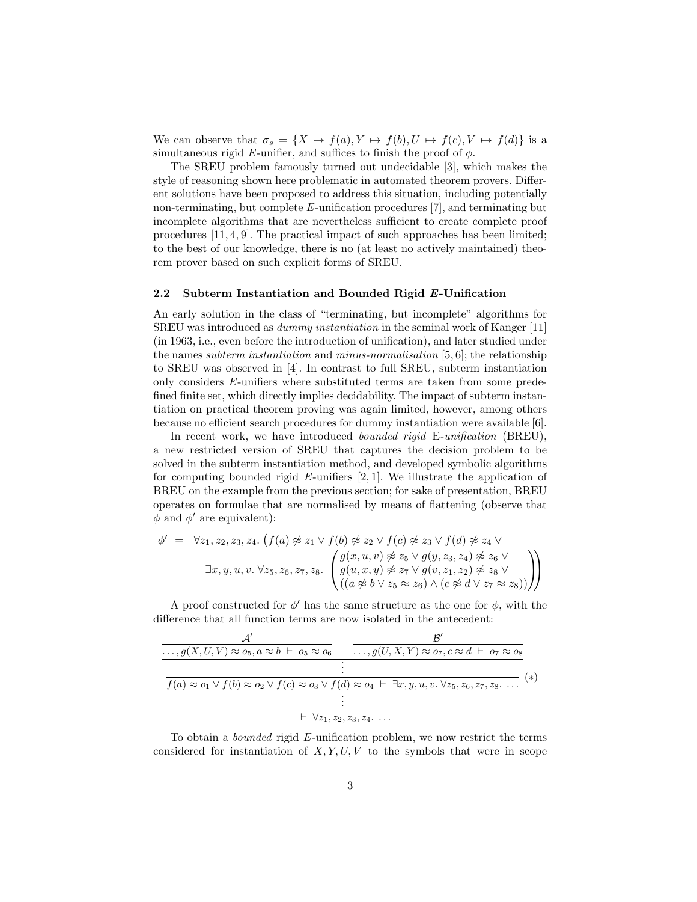We can observe that  $\sigma_s = \{X \mapsto f(a), Y \mapsto f(b), U \mapsto f(c), V \mapsto f(d)\}$  is a simultaneous rigid E-unifier, and suffices to finish the proof of  $\phi$ .

The SREU problem famously turned out undecidable [3], which makes the style of reasoning shown here problematic in automated theorem provers. Different solutions have been proposed to address this situation, including potentially non-terminating, but complete  $E$ -unification procedures [7], and terminating but incomplete algorithms that are nevertheless sufficient to create complete proof procedures [11, 4, 9]. The practical impact of such approaches has been limited; to the best of our knowledge, there is no (at least no actively maintained) theorem prover based on such explicit forms of SREU.

#### 2.2 Subterm Instantiation and Bounded Rigid E-Unification

An early solution in the class of "terminating, but incomplete" algorithms for SREU was introduced as dummy instantiation in the seminal work of Kanger [11] (in 1963, i.e., even before the introduction of unification), and later studied under the names subterm instantiation and minus-normalisation [5, 6]; the relationship to SREU was observed in [4]. In contrast to full SREU, subterm instantiation only considers E-unifiers where substituted terms are taken from some predefined finite set, which directly implies decidability. The impact of subterm instantiation on practical theorem proving was again limited, however, among others because no efficient search procedures for dummy instantiation were available [6].

In recent work, we have introduced *bounded rigid* E-unification (BREU), a new restricted version of SREU that captures the decision problem to be solved in the subterm instantiation method, and developed symbolic algorithms for computing bounded rigid  $E$ -unifiers [2, 1]. We illustrate the application of BREU on the example from the previous section; for sake of presentation, BREU operates on formulae that are normalised by means of flattening (observe that  $\phi$  and  $\phi'$  are equivalent):

$$
\phi' = \forall z_1, z_2, z_3, z_4. (f(a) \not\approx z_1 \lor f(b) \not\approx z_2 \lor f(c) \not\approx z_3 \lor f(d) \not\approx z_4 \lor
$$
  

$$
\exists x, y, u, v. \forall z_5, z_6, z_7, z_8. \left( \begin{array}{c} g(x, u, v) \not\approx z_5 \lor g(y, z_3, z_4) \not\approx z_6 \lor \\ g(u, x, y) \not\approx z_7 \lor g(v, z_1, z_2) \not\approx z_8 \lor \\ ((a \not\approx b \lor z_5 \approx z_6) \land (c \not\approx d \lor z_7 \approx z_8)) \end{array} \right)
$$

A proof constructed for  $\phi'$  has the same structure as the one for  $\phi$ , with the difference that all function terms are now isolated in the antecedent:

$$
\frac{\mathcal{A}'}{\cdots, g(X, U, V) \approx o_5, a \approx b + o_5 \approx o_6} \qquad \cdots, g(U, X, Y) \approx o_7, c \approx d + o_7 \approx o_8
$$
\n
$$
\vdots
$$
\n
$$
\overline{f(a) \approx o_1 \vee f(b) \approx o_2 \vee f(c) \approx o_3 \vee f(d) \approx o_4 + \exists x, y, u, v. \forall z_5, z_6, z_7, z_8 \cdots}
$$
\n
$$
\vdots
$$
\n
$$
\overline{+ \forall z_1, z_2, z_3, z_4 \cdots}
$$
\n(\*)

To obtain a bounded rigid E-unification problem, we now restrict the terms considered for instantiation of  $X, Y, U, V$  to the symbols that were in scope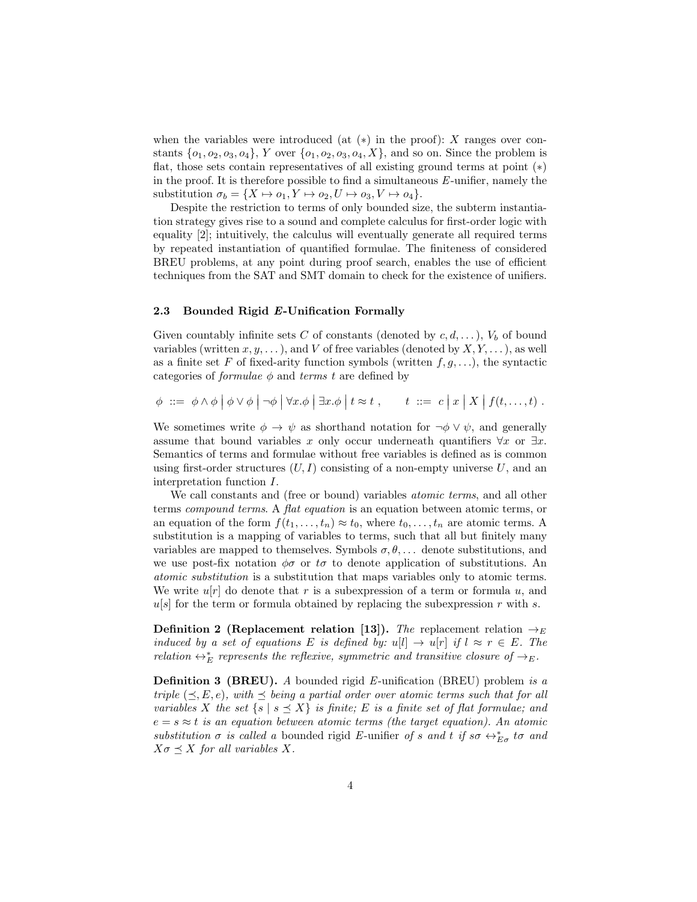when the variables were introduced (at  $(*)$  in the proof): X ranges over constants  $\{o_1, o_2, o_3, o_4\}$ , Y over  $\{o_1, o_2, o_3, o_4, X\}$ , and so on. Since the problem is flat, those sets contain representatives of all existing ground terms at point  $(*)$ in the proof. It is therefore possible to find a simultaneous  $E$ -unifier, namely the substitution  $\sigma_b = \{X \mapsto o_1, Y \mapsto o_2, U \mapsto o_3, V \mapsto o_4\}.$ 

Despite the restriction to terms of only bounded size, the subterm instantiation strategy gives rise to a sound and complete calculus for first-order logic with equality [2]; intuitively, the calculus will eventually generate all required terms by repeated instantiation of quantified formulae. The finiteness of considered BREU problems, at any point during proof search, enables the use of efficient techniques from the SAT and SMT domain to check for the existence of unifiers.

#### 2.3 Bounded Rigid E-Unification Formally

Given countably infinite sets C of constants (denoted by  $c, d, \ldots$ ),  $V_b$  of bound variables (written  $x, y, \ldots$ ), and V of free variables (denoted by  $X, Y, \ldots$ ), as well as a finite set F of fixed-arity function symbols (written  $f, g, \ldots$ ), the syntactic categories of *formulae*  $\phi$  and *terms t* are defined by

$$
\phi \ ::= \ \phi \wedge \phi \mid \phi \vee \phi \mid \neg \phi \mid \forall x. \phi \mid \exists x. \phi \mid t \approx t \ , \qquad t \ ::= \ c \mid x \mid X \mid f(t, \dots, t) \ .
$$

We sometimes write  $\phi \to \psi$  as shorthand notation for  $\neg \phi \lor \psi$ , and generally assume that bound variables x only occur underneath quantifiers  $\forall x$  or  $\exists x$ . Semantics of terms and formulae without free variables is defined as is common using first-order structures  $(U, I)$  consisting of a non-empty universe U, and an interpretation function I.

We call constants and (free or bound) variables *atomic terms*, and all other terms compound terms. A flat equation is an equation between atomic terms, or an equation of the form  $f(t_1, \ldots, t_n) \approx t_0$ , where  $t_0, \ldots, t_n$  are atomic terms. A substitution is a mapping of variables to terms, such that all but finitely many variables are mapped to themselves. Symbols  $\sigma, \theta, \ldots$  denote substitutions, and we use post-fix notation  $\phi\sigma$  or  $t\sigma$  to denote application of substitutions. An atomic substitution is a substitution that maps variables only to atomic terms. We write  $u[r]$  do denote that r is a subexpression of a term or formula u, and  $u[s]$  for the term or formula obtained by replacing the subexpression r with s.

**Definition 2 (Replacement relation [13]).** The replacement relation  $\rightarrow_E$ induced by a set of equations E is defined by:  $u[l] \rightarrow u[r]$  if  $l \approx r \in E$ . The relation  $\leftrightarrow_E^*$  represents the reflexive, symmetric and transitive closure of  $\rightarrow_E$ .

**Definition 3 (BREU).** A bounded rigid  $E$ -unification (BREU) problem is a triple  $(\leq, E, e)$ , with  $\leq$  being a partial order over atomic terms such that for all variables X the set  $\{s \mid s \leq X\}$  is finite; E is a finite set of flat formulae; and  $e = s \approx t$  is an equation between atomic terms (the target equation). An atomic substitution  $\sigma$  is called a bounded rigid E-unifier of s and t if so  $\leftrightarrow_{E_{\sigma}}^*$  to and  $X\sigma \preceq X$  for all variables X.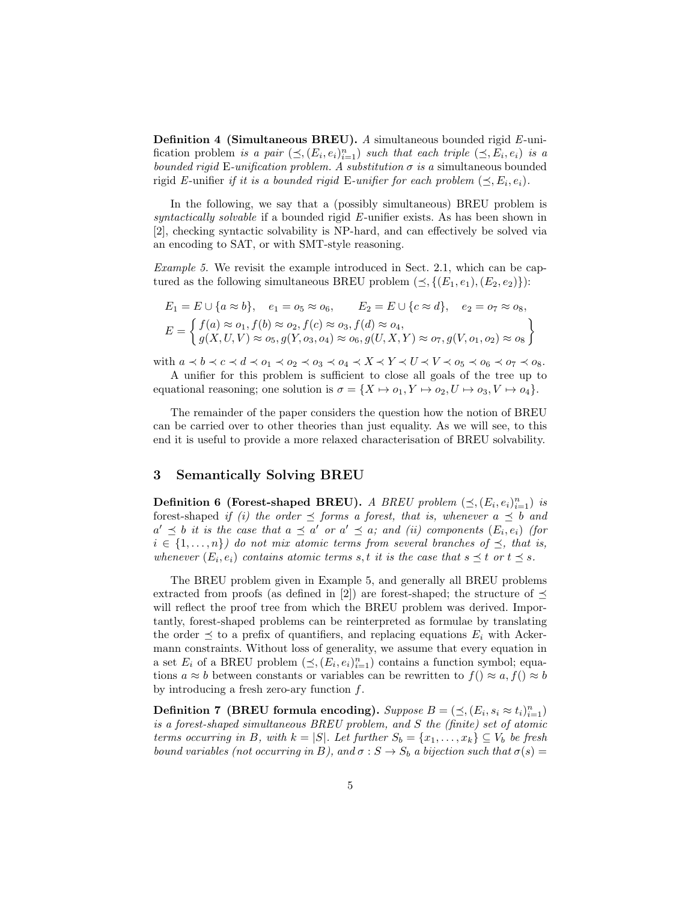**Definition 4 (Simultaneous BREU).** A simultaneous bounded rigid E-unification problem is a pair  $(\preceq, (E_i, e_i)_{i=1}^n)$  such that each triple  $(\preceq, E_i, e_i)$  is a bounded rigid E-unification problem. A substitution  $\sigma$  is a simultaneous bounded rigid E-unifier if it is a bounded rigid E-unifier for each problem  $(\leq, E_i, e_i)$ .

In the following, we say that a (possibly simultaneous) BREU problem is syntactically solvable if a bounded rigid E-unifier exists. As has been shown in [2], checking syntactic solvability is NP-hard, and can effectively be solved via an encoding to SAT, or with SMT-style reasoning.

Example 5. We revisit the example introduced in Sect. 2.1, which can be captured as the following simultaneous BREU problem  $(\preceq, \{(E_1, e_1), (E_2, e_2)\})$ :

$$
E_1 = E \cup \{a \approx b\}, \quad e_1 = o_5 \approx o_6, \quad E_2 = E \cup \{c \approx d\}, \quad e_2 = o_7 \approx o_8,
$$
  

$$
E = \begin{cases} f(a) \approx o_1, f(b) \approx o_2, f(c) \approx o_3, f(d) \approx o_4, \\ g(X, U, V) \approx o_5, g(Y, o_3, o_4) \approx o_6, g(U, X, Y) \approx o_7, g(V, o_1, o_2) \approx o_8 \end{cases}
$$

with  $a \prec b \prec c \prec d \prec o_1 \prec o_2 \prec o_3 \prec o_4 \prec X \prec Y \prec U \prec V \prec o_5 \prec o_6 \prec o_7 \prec o_8$ .

A unifier for this problem is sufficient to close all goals of the tree up to equational reasoning; one solution is  $\sigma = \{X \mapsto o_1, Y \mapsto o_2, U \mapsto o_3, V \mapsto o_4\}.$ 

The remainder of the paper considers the question how the notion of BREU can be carried over to other theories than just equality. As we will see, to this end it is useful to provide a more relaxed characterisation of BREU solvability.

# 3 Semantically Solving BREU

**Definition 6 (Forest-shaped BREU).** A BREU problem  $(\leq, (E_i, e_i)_{i=1}^n)$  is forest-shaped if (i) the order  $\preceq$  forms a forest, that is, whenever  $a \preceq b$  and  $a' \preceq b$  it is the case that  $a \preceq a'$  or  $a' \preceq a$ ; and (ii) components  $(E_i, e_i)$  (for  $i \in \{1, \ldots, n\}$  do not mix atomic terms from several branches of  $\preceq$ , that is, whenever  $(E_i, e_i)$  contains atomic terms s, t it is the case that  $s \preceq t$  or  $t \preceq s$ .

The BREU problem given in Example 5, and generally all BREU problems extracted from proofs (as defined in [2]) are forest-shaped; the structure of  $\preceq$ will reflect the proof tree from which the BREU problem was derived. Importantly, forest-shaped problems can be reinterpreted as formulae by translating the order  $\preceq$  to a prefix of quantifiers, and replacing equations  $E_i$  with Ackermann constraints. Without loss of generality, we assume that every equation in a set  $E_i$  of a BREU problem  $(\preceq, (E_i, e_i)_{i=1}^n)$  contains a function symbol; equations  $a \approx b$  between constants or variables can be rewritten to  $f() \approx a, f() \approx b$ by introducing a fresh zero-ary function  $f$ .

Definition 7 (BREU formula encoding). Suppose  $B = (\preceq, (E_i, s_i \approx t_i)_{i=1}^n)$ is a forest-shaped simultaneous BREU problem, and S the (finite) set of atomic terms occurring in B, with  $k = |S|$ . Let further  $S_b = \{x_1, \ldots, x_k\} \subseteq V_b$  be fresh bound variables (not occurring in B), and  $\sigma : S \to S_b$  a bijection such that  $\sigma(s)$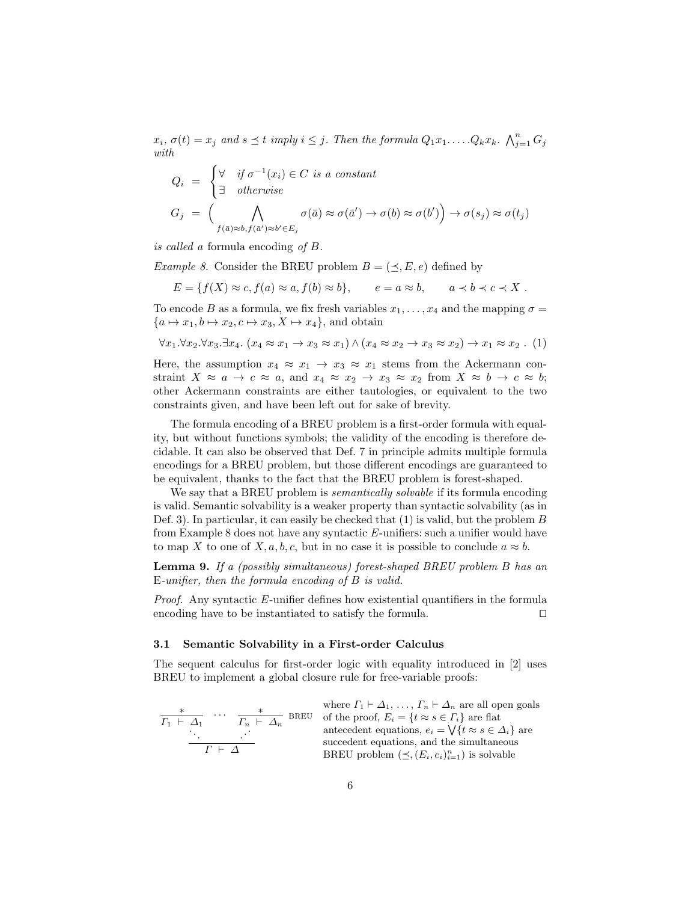$x_i, \sigma(t) = x_j$  and  $s \preceq t$  imply  $i \leq j$ . Then the formula  $Q_1 x_1 \dots Q_k x_k$ .  $\bigwedge_{j=1}^n G_j$ with

$$
Q_i = \begin{cases} \forall & \text{if } \sigma^{-1}(x_i) \in C \text{ is a constant} \\ \exists & \text{otherwise} \end{cases}
$$

$$
G_j = \left( \bigwedge_{f(\bar{a}) \approx b, f(\bar{a}') \approx b' \in E_j} \sigma(\bar{a}) \approx \sigma(\bar{a}') \to \sigma(b) \approx \sigma(b') \right) \to \sigma(s_j) \approx \sigma(t_j)
$$

is called a formula encoding of B.

*Example 8.* Consider the BREU problem  $B = (\leq, E, e)$  defined by

$$
E = \{ f(X) \approx c, f(a) \approx a, f(b) \approx b \}, \qquad e = a \approx b, \qquad a \prec b \prec c \prec X.
$$

To encode B as a formula, we fix fresh variables  $x_1, \ldots, x_4$  and the mapping  $\sigma =$  ${a \mapsto x_1, b \mapsto x_2, c \mapsto x_3, X \mapsto x_4},$  and obtain

$$
\forall x_1. \forall x_2. \forall x_3. \exists x_4. \ (x_4 \approx x_1 \rightarrow x_3 \approx x_1) \land (x_4 \approx x_2 \rightarrow x_3 \approx x_2) \rightarrow x_1 \approx x_2 \tag{1}
$$

Here, the assumption  $x_4 \approx x_1 \rightarrow x_3 \approx x_1$  stems from the Ackermann constraint  $X \approx a \rightarrow c \approx a$ , and  $x_4 \approx x_2 \rightarrow x_3 \approx x_2$  from  $X \approx b \rightarrow c \approx b$ ; other Ackermann constraints are either tautologies, or equivalent to the two constraints given, and have been left out for sake of brevity.

The formula encoding of a BREU problem is a first-order formula with equality, but without functions symbols; the validity of the encoding is therefore decidable. It can also be observed that Def. 7 in principle admits multiple formula encodings for a BREU problem, but those different encodings are guaranteed to be equivalent, thanks to the fact that the BREU problem is forest-shaped.

We say that a BREU problem is *semantically solvable* if its formula encoding is valid. Semantic solvability is a weaker property than syntactic solvability (as in Def. 3). In particular, it can easily be checked that (1) is valid, but the problem B from Example 8 does not have any syntactic E-unifiers: such a unifier would have to map X to one of X, a, b, c, but in no case it is possible to conclude  $a \approx b$ .

Lemma 9. If a (possibly simultaneous) forest-shaped BREU problem B has an E-unifier, then the formula encoding of B is valid.

Proof. Any syntactic E-unifier defines how existential quantifiers in the formula encoding have to be instantiated to satisfy the formula.  $\Box$ 

#### 3.1 Semantic Solvability in a First-order Calculus

The sequent calculus for first-order logic with equality introduced in [2] uses BREU to implement a global closure rule for free-variable proofs:

$$
\begin{array}{c}\n\ast \\
\hline\nT_1 \vdash \Delta_1 \\
\hline\nT_2 \vdash \Delta_n\n\end{array} \n\quad\n\begin{array}{c}\n\ast \\
\hline\nT_n \vdash \Delta_n\n\end{array} \n\quad\n\begin{array}{c}\n\text{BREU} \\
\hline\n\end{array}
$$

where  $\Gamma_1 \vdash \Delta_1, \ldots, \Gamma_n \vdash \Delta_n$  are all open goals of the proof,  $E_i = \{t \approx s \in \Gamma_i\}$  are flat antecedent equations,  $e_i = \bigvee \{ t \approx s \in \Delta_i \}$  are succedent equations, and the simultaneous BREU problem  $(\preceq, (E_i, e_i)_{i=1}^n)$  is solvable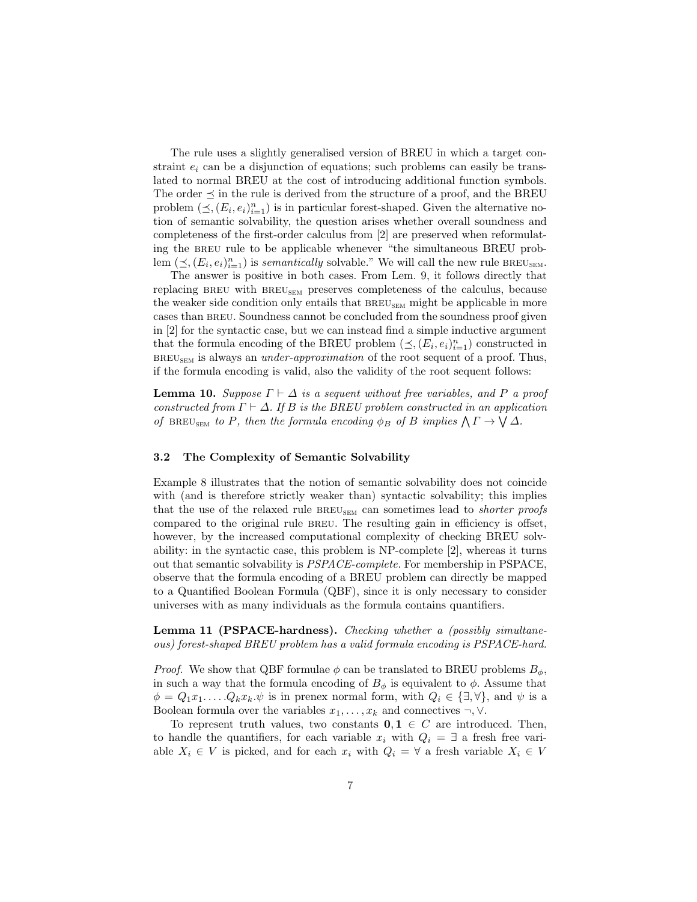The rule uses a slightly generalised version of BREU in which a target constraint  $e_i$  can be a disjunction of equations; such problems can easily be translated to normal BREU at the cost of introducing additional function symbols. The order  $\preceq$  in the rule is derived from the structure of a proof, and the BREU problem  $(\preceq, (E_i, e_i)_{i=1}^n)$  is in particular forest-shaped. Given the alternative notion of semantic solvability, the question arises whether overall soundness and completeness of the first-order calculus from [2] are preserved when reformulating the BREU rule to be applicable whenever "the simultaneous BREU problem  $(\preceq,(E_i,e_i)_{i=1}^n)$  is semantically solvable." We will call the new rule BREU<sub>SEM</sub>.

The answer is positive in both cases. From Lem. 9, it follows directly that replacing BREU with  $BREU_{SEM}$  preserves completeness of the calculus, because the weaker side condition only entails that  $BREU_{SEM}$  might be applicable in more cases than breu. Soundness cannot be concluded from the soundness proof given in [2] for the syntactic case, but we can instead find a simple inductive argument that the formula encoding of the BREU problem  $(\preceq, (E_i, e_i)_{i=1}^n)$  constructed in  $BREU<sub>SEM</sub>$  is always an *under-approximation* of the root sequent of a proof. Thus, if the formula encoding is valid, also the validity of the root sequent follows:

**Lemma 10.** Suppose  $\Gamma \vdash \Delta$  is a sequent without free variables, and P a proof constructed from  $\Gamma \vdash \Delta$ . If B is the BREU problem constructed in an application of BREU<sub>SEM</sub> to P, then the formula encoding  $\phi_B$  of B implies  $\bigwedge \Gamma \to \bigvee \Delta$ .

#### 3.2 The Complexity of Semantic Solvability

Example 8 illustrates that the notion of semantic solvability does not coincide with (and is therefore strictly weaker than) syntactic solvability; this implies that the use of the relaxed rule  $BREU_{SEM}$  can sometimes lead to *shorter proofs* compared to the original rule BREU. The resulting gain in efficiency is offset, however, by the increased computational complexity of checking BREU solvability: in the syntactic case, this problem is NP-complete [2], whereas it turns out that semantic solvability is PSPACE-complete. For membership in PSPACE, observe that the formula encoding of a BREU problem can directly be mapped to a Quantified Boolean Formula (QBF), since it is only necessary to consider universes with as many individuals as the formula contains quantifiers.

Lemma 11 (PSPACE-hardness). Checking whether a (possibly simultaneous) forest-shaped BREU problem has a valid formula encoding is PSPACE-hard.

*Proof.* We show that QBF formulae  $\phi$  can be translated to BREU problems  $B_{\phi}$ , in such a way that the formula encoding of  $B_{\phi}$  is equivalent to  $\phi$ . Assume that  $\phi = Q_1 x_1 \dots Q_k x_k \psi$  is in prenex normal form, with  $Q_i \in \{\exists, \forall\}$ , and  $\psi$  is a Boolean formula over the variables  $x_1, \ldots, x_k$  and connectives  $\neg, \vee$ .

To represent truth values, two constants  $0, 1 \in C$  are introduced. Then, to handle the quantifiers, for each variable  $x_i$  with  $Q_i = \exists$  a fresh free variable  $X_i \in V$  is picked, and for each  $x_i$  with  $Q_i = \forall$  a fresh variable  $X_i \in V$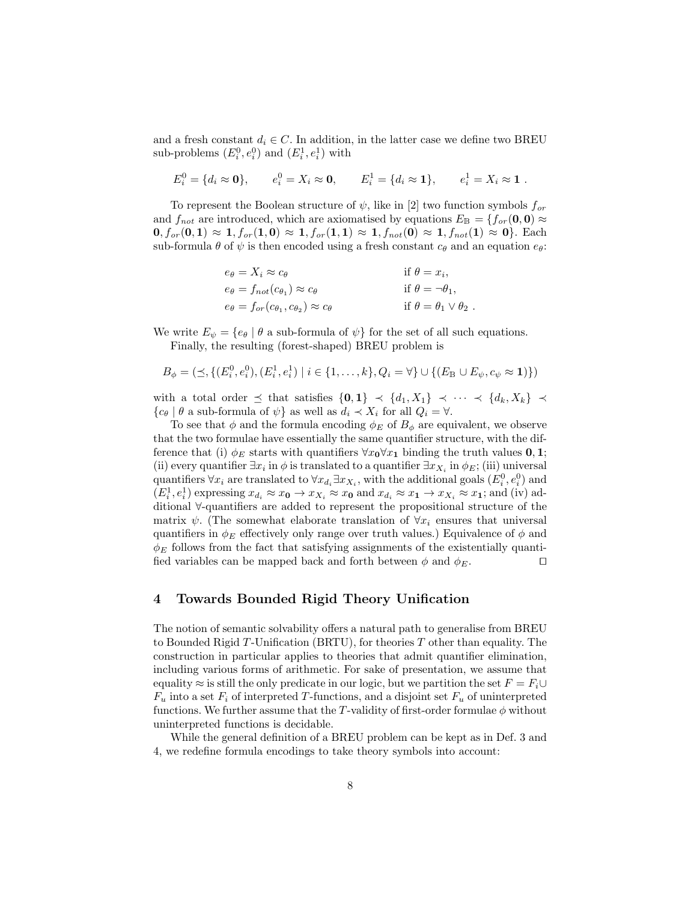and a fresh constant  $d_i \in C$ . In addition, in the latter case we define two BREU sub-problems  $(E_i^0, e_i^0)$  and  $(E_i^1, e_i^1)$  with

$$
E_i^0 = \{d_i \approx \mathbf{0}\}, \qquad e_i^0 = X_i \approx \mathbf{0}, \qquad E_i^1 = \{d_i \approx \mathbf{1}\}, \qquad e_i^1 = X_i \approx \mathbf{1}.
$$

To represent the Boolean structure of  $\psi$ , like in [2] two function symbols  $f_{or}$ and  $f_{not}$  are introduced, which are axiomatised by equations  $E_{\mathbb{B}} = \{f_{or}(\mathbf{0}, \mathbf{0}) \approx$  $0, f_{or}(0,1) \approx 1, f_{or}(1,0) \approx 1, f_{or}(1,1) \approx 1, f_{not}(0) \approx 1, f_{not}(1) \approx 0$ . Each sub-formula  $\theta$  of  $\psi$  is then encoded using a fresh constant  $c_{\theta}$  and an equation  $e_{\theta}$ :

$$
e_{\theta} = X_i \approx c_{\theta} \qquad \text{if } \theta = x_i,
$$
  
\n
$$
e_{\theta} = f_{not}(c_{\theta_1}) \approx c_{\theta} \qquad \text{if } \theta = \neg \theta_1,
$$
  
\n
$$
e_{\theta} = f_{or}(c_{\theta_1}, c_{\theta_2}) \approx c_{\theta} \qquad \text{if } \theta = \theta_1 \vee \theta_2.
$$

We write  $E_{\psi} = \{e_{\theta} | \theta \text{ a sub-formula of } \psi\}$  for the set of all such equations.

Finally, the resulting (forest-shaped) BREU problem is

$$
B_{\phi} = (\preceq, \{(E_i^0, e_i^0), (E_i^1, e_i^1) \mid i \in \{1, \dots, k\}, Q_i = \forall\} \cup \{(E_{\mathbb{B}} \cup E_{\psi}, c_{\psi} \approx \mathbf{1})\})
$$

with a total order  $\preceq$  that satisfies  $\{0, 1\} \prec \{d_1, X_1\} \prec \cdots \prec \{d_k, X_k\}$  ${c_{\theta} | \theta \text{ a sub-formula of } \psi}$  as well as  $d_i \prec X_i$  for all  $Q_i = \forall$ .

To see that  $\phi$  and the formula encoding  $\phi_E$  of  $B_\phi$  are equivalent, we observe that the two formulae have essentially the same quantifier structure, with the difference that (i)  $\phi_E$  starts with quantifiers  $\forall x_0 \forall x_1$  binding the truth values **0**, 1; (ii) every quantifier  $\exists x_i$  in  $\phi$  is translated to a quantifier  $\exists x_{X_i}$  in  $\phi_E$ ; (iii) universal quantifiers  $\forall x_i$  are translated to  $\forall x_{d_i} \exists x_{X_i}$ , with the additional goals  $(E_i^0, e_i^0)$  and  $(E_i^1, e_i^1)$  expressing  $x_{d_i} \approx x_0 \to x_{X_i} \approx x_0$  and  $x_{d_i} \approx x_1 \to x_{X_i} \approx x_1$ ; and (iv) additional ∀-quantifiers are added to represent the propositional structure of the matrix  $\psi$ . (The somewhat elaborate translation of  $\forall x_i$  ensures that universal quantifiers in  $\phi_E$  effectively only range over truth values.) Equivalence of  $\phi$  and  $\phi_E$  follows from the fact that satisfying assignments of the existentially quantified variables can be mapped back and forth between  $\phi$  and  $\phi_E$ .

# 4 Towards Bounded Rigid Theory Unification

The notion of semantic solvability offers a natural path to generalise from BREU to Bounded Rigid T-Unification (BRTU), for theories T other than equality. The construction in particular applies to theories that admit quantifier elimination, including various forms of arithmetic. For sake of presentation, we assume that equality  $\approx$  is still the only predicate in our logic, but we partition the set  $F = F_i \cup$  $F_u$  into a set  $F_i$  of interpreted T-functions, and a disjoint set  $F_u$  of uninterpreted functions. We further assume that the T-validity of first-order formulae  $\phi$  without uninterpreted functions is decidable.

While the general definition of a BREU problem can be kept as in Def. 3 and 4, we redefine formula encodings to take theory symbols into account: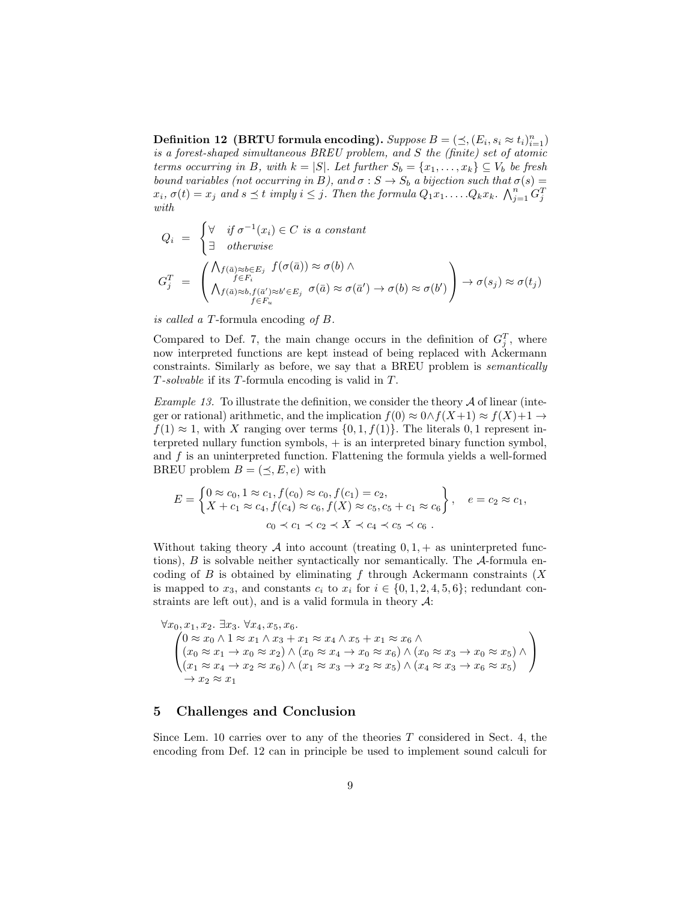Definition 12 (BRTU formula encoding). Suppose  $B = (\preceq, (E_i, s_i \approx t_i)_{i=1}^n)$ is a forest-shaped simultaneous BREU problem, and S the (finite) set of atomic terms occurring in B, with  $k = |S|$ . Let further  $S_b = \{x_1, \ldots, x_k\} \subseteq V_b$  be fresh bound variables (not occurring in B), and  $\sigma : S \to S_b$  a bijection such that  $\sigma(s) =$  $x_i, \sigma(t) = x_j$  and  $s \preceq t$  imply  $i \leq j$ . Then the formula  $Q_1 x_1 \dots Q_k x_k$ .  $\bigwedge_{j=1}^n G_j^T$ with

$$
Q_i = \begin{cases} \forall & \text{if } \sigma^{-1}(x_i) \in C \text{ is a constant} \\ \exists & \text{otherwise} \end{cases}
$$
  

$$
G_j^T = \begin{pmatrix} \bigwedge_{f(\bar{a}) \approx b \in E_j} f(\sigma(\bar{a})) \approx \sigma(b) \land \\ \bigwedge_{f \in F_i} f(\sigma(\bar{a})) \approx \sigma(\bar{a}) \Rightarrow \sigma(\bar{a}') \rightarrow \sigma(b) \approx \sigma(b') \\ f \in F_u \end{pmatrix} \rightarrow \sigma(s_j) \approx \sigma(t_j)
$$

is called a T-formula encoding of B.

Compared to Def. 7, the main change occurs in the definition of  $G_j^T$ , where now interpreted functions are kept instead of being replaced with Ackermann constraints. Similarly as before, we say that a BREU problem is semantically T-solvable if its T-formula encoding is valid in T.

*Example 13.* To illustrate the definition, we consider the theory  $\mathcal A$  of linear (integer or rational) arithmetic, and the implication  $f(0) \approx 0 \wedge f(X+1) \approx f(X)+1 \rightarrow$  $f(1) \approx 1$ , with X ranging over terms  $\{0, 1, f(1)\}$ . The literals 0, 1 represent interpreted nullary function symbols, + is an interpreted binary function symbol, and  $f$  is an uninterpreted function. Flattening the formula yields a well-formed BREU problem  $B = (\preceq, E, e)$  with

$$
E = \begin{cases} 0 \approx c_0, 1 \approx c_1, f(c_0) \approx c_0, f(c_1) = c_2, \\ X + c_1 \approx c_4, f(c_4) \approx c_6, f(X) \approx c_5, c_5 + c_1 \approx c_6 \end{cases}, \quad e = c_2 \approx c_1,
$$
  

$$
c_0 \prec c_1 \prec c_2 \prec X \prec c_4 \prec c_5 \prec c_6.
$$

Without taking theory  $A$  into account (treating  $0, 1, +$  as uninterpreted functions),  $B$  is solvable neither syntactically nor semantically. The  $A$ -formula encoding of B is obtained by eliminating  $f$  through Ackermann constraints  $(X$ is mapped to  $x_3$ , and constants  $c_i$  to  $x_i$  for  $i \in \{0, 1, 2, 4, 5, 6\}$ ; redundant constraints are left out), and is a valid formula in theory  $A$ :

 $\forall x_0, x_1, x_2$ .  $\exists x_3. \forall x_4, x_5, x_6$ .  $\sqrt{ }$  $\mathcal{L}$  $0 \approx x_0 \wedge 1 \approx x_1 \wedge x_3 + x_1 \approx x_4 \wedge x_5 + x_1 \approx x_6 \wedge x_6$  $(x_0 \approx x_1 \rightarrow x_0 \approx x_2) \land (x_0 \approx x_4 \rightarrow x_0 \approx x_6) \land (x_0 \approx x_3 \rightarrow x_0 \approx x_5) \land$  $(x_1 \approx x_4 \rightarrow x_2 \approx x_6) \land (x_1 \approx x_3 \rightarrow x_2 \approx x_5) \land (x_4 \approx x_3 \rightarrow x_6 \approx x_5)$  $\setminus$  $\overline{1}$  $\rightarrow$   $x_2 \approx x_1$ 

# 5 Challenges and Conclusion

Since Lem. 10 carries over to any of the theories  $T$  considered in Sect. 4, the encoding from Def. 12 can in principle be used to implement sound calculi for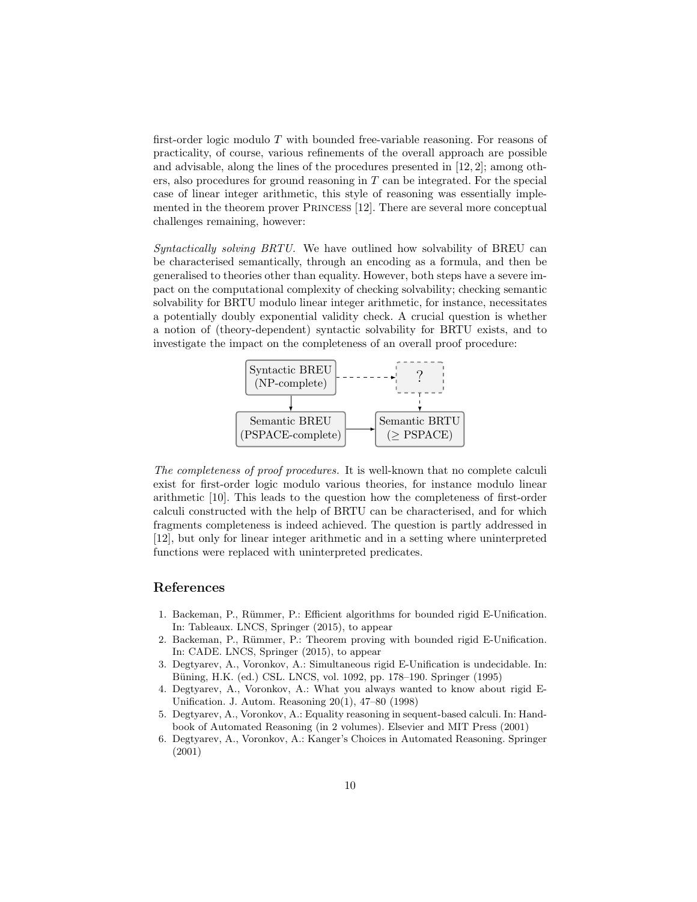first-order logic modulo T with bounded free-variable reasoning. For reasons of practicality, of course, various refinements of the overall approach are possible and advisable, along the lines of the procedures presented in [12, 2]; among others, also procedures for ground reasoning in  $T$  can be integrated. For the special case of linear integer arithmetic, this style of reasoning was essentially implemented in the theorem prover PRINCESS [12]. There are several more conceptual challenges remaining, however:

Syntactically solving BRTU. We have outlined how solvability of BREU can be characterised semantically, through an encoding as a formula, and then be generalised to theories other than equality. However, both steps have a severe impact on the computational complexity of checking solvability; checking semantic solvability for BRTU modulo linear integer arithmetic, for instance, necessitates a potentially doubly exponential validity check. A crucial question is whether a notion of (theory-dependent) syntactic solvability for BRTU exists, and to investigate the impact on the completeness of an overall proof procedure:



The completeness of proof procedures. It is well-known that no complete calculi exist for first-order logic modulo various theories, for instance modulo linear arithmetic [10]. This leads to the question how the completeness of first-order calculi constructed with the help of BRTU can be characterised, and for which fragments completeness is indeed achieved. The question is partly addressed in [12], but only for linear integer arithmetic and in a setting where uninterpreted functions were replaced with uninterpreted predicates.

### References

- 1. Backeman, P., Rümmer, P.: Efficient algorithms for bounded rigid E-Unification. In: Tableaux. LNCS, Springer (2015), to appear
- 2. Backeman, P., Rümmer, P.: Theorem proving with bounded rigid E-Unification. In: CADE. LNCS, Springer (2015), to appear
- 3. Degtyarev, A., Voronkov, A.: Simultaneous rigid E-Unification is undecidable. In: Büning, H.K. (ed.) CSL. LNCS, vol. 1092, pp. 178–190. Springer (1995)
- 4. Degtyarev, A., Voronkov, A.: What you always wanted to know about rigid E-Unification. J. Autom. Reasoning 20(1), 47–80 (1998)
- 5. Degtyarev, A., Voronkov, A.: Equality reasoning in sequent-based calculi. In: Handbook of Automated Reasoning (in 2 volumes). Elsevier and MIT Press (2001)
- 6. Degtyarev, A., Voronkov, A.: Kanger's Choices in Automated Reasoning. Springer (2001)